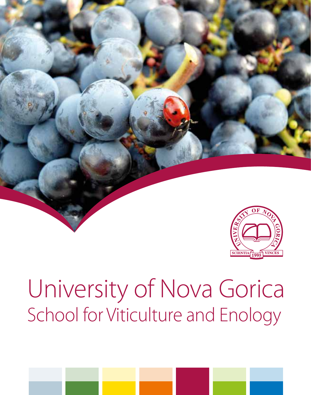

# University of Nova Gorica School for Viticulture and Enology

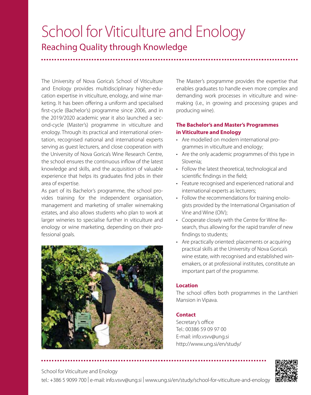## School for Viticulture and Enology Reaching Quality through Knowledge

The University of Nova Gorica's School of Viticulture and Enology provides multidisciplinary higher-education expertise in viticulture, enology, and wine marketing. It has been offering a uniform and specialised first-cycle (Bachelor's) programme since 2006, and in the 2019/2020 academic year it also launched a second-cycle (Master's) programme in viticulture and enology. Through its practical and international orientation, recognised national and international experts serving as guest lecturers, and close cooperation with the University of Nova Gorica's Wine Research Centre, the school ensures the continuous inflow of the latest knowledge and skills, and the acquisition of valuable experience that helps its graduates find jobs in their area of expertise.

As part of its Bachelor's programme, the school provides training for the independent organisation, management and marketing of smaller winemaking estates, and also allows students who plan to work at larger wineries to specialise further in viticulture and enology or wine marketing, depending on their professional goals.



The Master's programme provides the expertise that enables graduates to handle even more complex and demanding work processes in viticulture and winemaking (i.e., in growing and processing grapes and producing wine).

#### **The Bachelor's and Master's Programmes in Viticulture and Enology**

- • Are modelled on modern international programmes in viticulture and enology;
- Are the only academic programmes of this type in Slovenia;
- • Follow the latest theoretical, technological and scientific findings in the field;
- • Feature recognised and experienced national and international experts as lecturers;
- Follow the recommendations for training enologists provided by the International Organisation of Vine and Wine (OIV);
- • Cooperate closely with the Centre for Wine Research, thus allowing for the rapid transfer of new findings to students;
- Are practically oriented: placements or acquiring practical skills at the University of Nova Gorica's wine estate, with recognised and established winemakers, or at professional institutes, constitute an important part of the programme.

#### **Location**

The school offers both programmes in the Lanthieri Mansion in Vipava.

#### **Contact**

Secretary's office Tel.: 00386 59 09 97 00 E-mail: info.vsvv@ung.si http://www.ung.si/en/study/



School for Viticulture and Enology

tel.: +386 5 9099 700 | e-mail: info.vsvv@ung.si | www.ung.si/en/study/school-for-viticulture-and-enology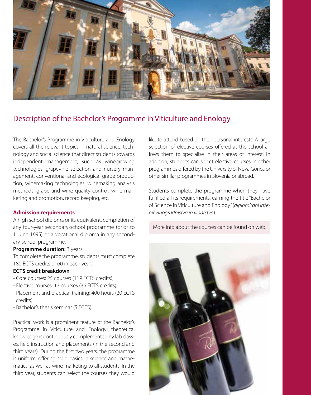

#### Description of the Bachelor's Programme in Viticulture and Enology

The Bachelor's Programme in Viticulture and Enology covers all the relevant topics in natural science, technology and social science that direct students towards independent management, such as winegrowing technologies, grapevine selection and nursery management, conventional and ecological grape production, winemaking technologies, winemaking analysis methods, grape and wine quality control, wine marketing and promotion, record keeping, etc.

#### **Admission requirements**

A high school diploma or its equivalent, completion of any four-year secondary-school programme (prior to 1 June 1995) or a vocational diploma in any secondary-school programme.

#### **Programme duration: 3 years**

To complete the programme, students must complete 180 ECTS credits or 60 in each year.

#### **ECTS credit breakdown**:

- Core courses: 25 courses (119 ECTS credits);
- Elective courses: 17 courses (36 ECTS credits);
- Placement and practical training: 400 hours (20 ECTS credits)
- Bachelor's thesis seminar (5 ECTS)

Practical work is a prominent feature of the Bachelor's Programme in Viticulture and Enology; theoretical knowledge is continuously complemented by lab classes, field instruction and placements (in the second and third years). During the first two years, the programme is uniform, offering solid basics in science and mathematics, as well as wine marketing to all students. In the third year, students can select the courses they would like to attend based on their personal interests. A large selection of elective courses offered at the school allows them to specialise in their areas of interest. In addition, students can select elective courses in other programmes offered by the University of Nova Gorica or other similar programmes in Slovenia or abroad.

Students complete the programme when they have fulfilled all its requirements, earning the title "Bachelor of Science in Viticulture and Enology" (*diplomirani inženir vinogradništva in vinarstva*).

More info about the courses can be found on web.